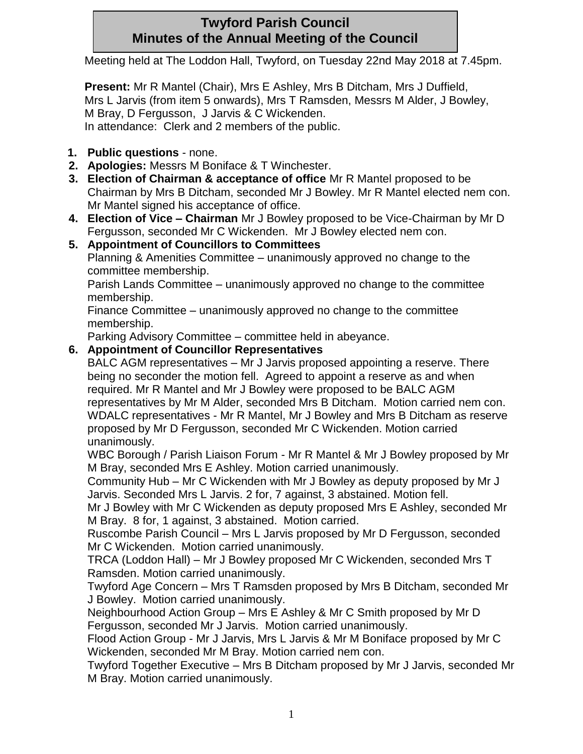# **Twyford Parish Council Minutes of the Annual Meeting of the Council**

Meeting held at The Loddon Hall, Twyford, on Tuesday 22nd May 2018 at 7.45pm.

**Present:** Mr R Mantel (Chair), Mrs E Ashley, Mrs B Ditcham, Mrs J Duffield, Mrs L Jarvis (from item 5 onwards), Mrs T Ramsden, Messrs M Alder, J Bowley, M Bray, D Fergusson, J Jarvis & C Wickenden. In attendance: Clerk and 2 members of the public.

- **1. Public questions** none.
- **2. Apologies:** Messrs M Boniface & T Winchester.
- **3. Election of Chairman & acceptance of office** Mr R Mantel proposed to be Chairman by Mrs B Ditcham, seconded Mr J Bowley. Mr R Mantel elected nem con. Mr Mantel signed his acceptance of office.
- **4. Election of Vice – Chairman** Mr J Bowley proposed to be Vice-Chairman by Mr D Fergusson, seconded Mr C Wickenden. Mr J Bowley elected nem con.
- **5. Appointment of Councillors to Committees**

Planning & Amenities Committee – unanimously approved no change to the committee membership.

Parish Lands Committee – unanimously approved no change to the committee membership.

Finance Committee – unanimously approved no change to the committee membership.

Parking Advisory Committee – committee held in abeyance.

### **6. Appointment of Councillor Representatives**

BALC AGM representatives – Mr J Jarvis proposed appointing a reserve. There being no seconder the motion fell. Agreed to appoint a reserve as and when required. Mr R Mantel and Mr J Bowley were proposed to be BALC AGM representatives by Mr M Alder, seconded Mrs B Ditcham. Motion carried nem con. WDALC representatives - Mr R Mantel, Mr J Bowley and Mrs B Ditcham as reserve proposed by Mr D Fergusson, seconded Mr C Wickenden. Motion carried unanimously.

WBC Borough / Parish Liaison Forum - Mr R Mantel & Mr J Bowley proposed by Mr M Bray, seconded Mrs E Ashley. Motion carried unanimously.

Community Hub – Mr C Wickenden with Mr J Bowley as deputy proposed by Mr J Jarvis. Seconded Mrs L Jarvis. 2 for, 7 against, 3 abstained. Motion fell.

Mr J Bowley with Mr C Wickenden as deputy proposed Mrs E Ashley, seconded Mr M Bray. 8 for, 1 against, 3 abstained. Motion carried.

Ruscombe Parish Council – Mrs L Jarvis proposed by Mr D Fergusson, seconded Mr C Wickenden. Motion carried unanimously.

TRCA (Loddon Hall) – Mr J Bowley proposed Mr C Wickenden, seconded Mrs T Ramsden. Motion carried unanimously.

Twyford Age Concern – Mrs T Ramsden proposed by Mrs B Ditcham, seconded Mr J Bowley. Motion carried unanimously.

Neighbourhood Action Group – Mrs E Ashley & Mr C Smith proposed by Mr D Fergusson, seconded Mr J Jarvis. Motion carried unanimously.

Flood Action Group - Mr J Jarvis, Mrs L Jarvis & Mr M Boniface proposed by Mr C Wickenden, seconded Mr M Bray. Motion carried nem con.

Twyford Together Executive – Mrs B Ditcham proposed by Mr J Jarvis, seconded Mr M Bray. Motion carried unanimously.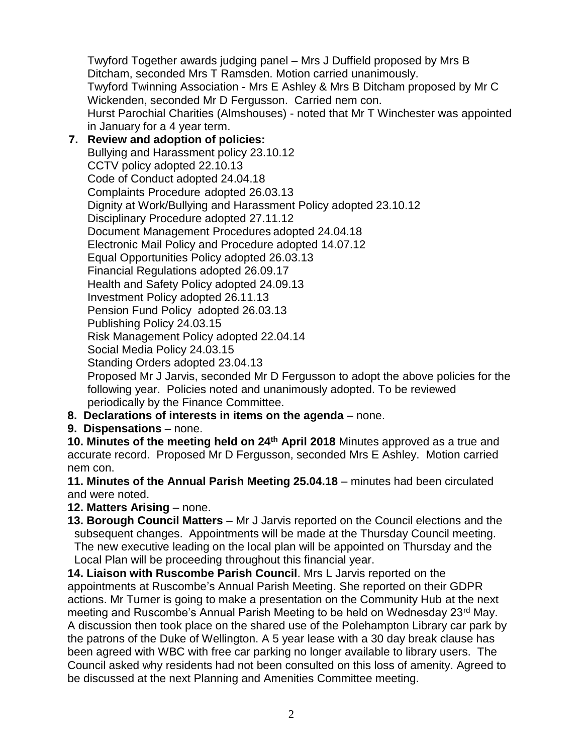Twyford Together awards judging panel – Mrs J Duffield proposed by Mrs B Ditcham, seconded Mrs T Ramsden. Motion carried unanimously. Twyford Twinning Association - Mrs E Ashley & Mrs B Ditcham proposed by Mr C Wickenden, seconded Mr D Fergusson. Carried nem con. Hurst Parochial Charities (Almshouses) - noted that Mr T Winchester was appointed in January for a 4 year term.

**7. Review and adoption of policies:** Bullying and Harassment policy 23.10.12 CCTV policy adopted 22.10.13 Code of Conduct adopted 24.04.18 Complaints Procedure adopted 26.03.13 Dignity at Work/Bullying and Harassment Policy adopted 23.10.12 Disciplinary Procedure adopted 27.11.12 Document Management Procedures adopted 24.04.18 Electronic Mail Policy and Procedure adopted 14.07.12 Equal Opportunities Policy adopted 26.03.13 Financial Regulations adopted 26.09.17 Health and Safety Policy adopted 24.09.13 Investment Policy adopted 26.11.13 Pension Fund Policy adopted 26.03.13 Publishing Policy 24.03.15 Risk Management Policy adopted 22.04.14 Social Media Policy 24.03.15 Standing Orders adopted 23.04.13 Proposed Mr J Jarvis, seconded Mr D Fergusson to adopt the above policies for the

following year. Policies noted and unanimously adopted. To be reviewed periodically by the Finance Committee.

- **8. Declarations of interests in items on the agenda** none.
- **9. Dispensations** none.

**10. Minutes of the meeting held on 24th April 2018** Minutes approved as a true and accurate record. Proposed Mr D Fergusson, seconded Mrs E Ashley. Motion carried nem con.

**11. Minutes of the Annual Parish Meeting 25.04.18** – minutes had been circulated and were noted.

**12. Matters Arising** – none.

**13. Borough Council Matters** – Mr J Jarvis reported on the Council elections and the subsequent changes. Appointments will be made at the Thursday Council meeting. The new executive leading on the local plan will be appointed on Thursday and the Local Plan will be proceeding throughout this financial year.

**14. Liaison with Ruscombe Parish Council**. Mrs L Jarvis reported on the appointments at Ruscombe's Annual Parish Meeting. She reported on their GDPR actions. Mr Turner is going to make a presentation on the Community Hub at the next meeting and Ruscombe's Annual Parish Meeting to be held on Wednesday 23rd May. A discussion then took place on the shared use of the Polehampton Library car park by the patrons of the Duke of Wellington. A 5 year lease with a 30 day break clause has been agreed with WBC with free car parking no longer available to library users. The Council asked why residents had not been consulted on this loss of amenity. Agreed to be discussed at the next Planning and Amenities Committee meeting.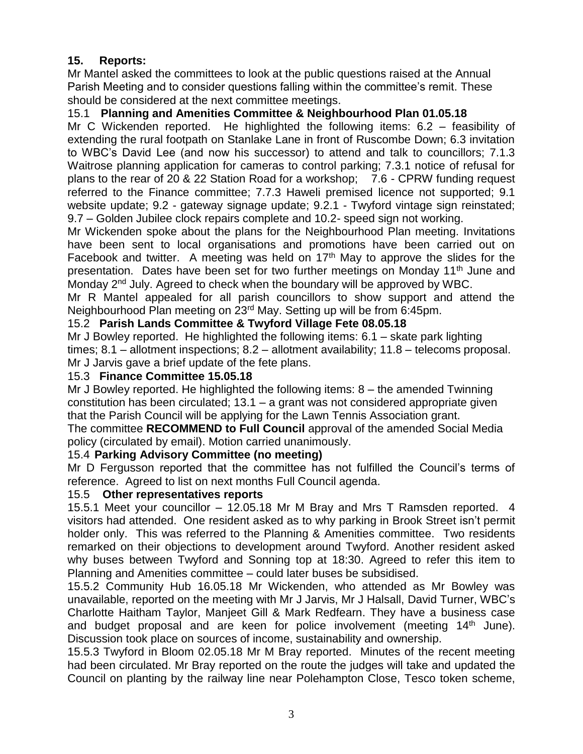## **15. Reports:**

Mr Mantel asked the committees to look at the public questions raised at the Annual Parish Meeting and to consider questions falling within the committee's remit. These should be considered at the next committee meetings.

## 15.1 **Planning and Amenities Committee & Neighbourhood Plan 01.05.18**

Mr C Wickenden reported. He highlighted the following items: 6.2 – feasibility of extending the rural footpath on Stanlake Lane in front of Ruscombe Down; 6.3 invitation to WBC's David Lee (and now his successor) to attend and talk to councillors; 7.1.3 Waitrose planning application for cameras to control parking; 7.3.1 notice of refusal for plans to the rear of 20 & 22 Station Road for a workshop; 7.6 - CPRW funding request referred to the Finance committee; 7.7.3 Haweli premised licence not supported; 9.1 website update; 9.2 - gateway signage update; 9.2.1 - Twyford vintage sign reinstated; 9.7 – Golden Jubilee clock repairs complete and 10.2- speed sign not working.

Mr Wickenden spoke about the plans for the Neighbourhood Plan meeting. Invitations have been sent to local organisations and promotions have been carried out on Facebook and twitter. A meeting was held on  $17<sup>th</sup>$  May to approve the slides for the presentation. Dates have been set for two further meetings on Monday 11<sup>th</sup> June and Monday 2<sup>nd</sup> July. Agreed to check when the boundary will be approved by WBC.

Mr R Mantel appealed for all parish councillors to show support and attend the Neighbourhood Plan meeting on 23rd May. Setting up will be from 6:45pm.

### 15.2 **Parish Lands Committee & Twyford Village Fete 08.05.18**

Mr J Bowley reported. He highlighted the following items: 6.1 – skate park lighting times; 8.1 – allotment inspections; 8.2 – allotment availability; 11.8 – telecoms proposal. Mr J Jarvis gave a brief update of the fete plans.

#### 15.3 **Finance Committee 15.05.18**

Mr J Bowley reported. He highlighted the following items: 8 – the amended Twinning constitution has been circulated; 13.1 – a grant was not considered appropriate given that the Parish Council will be applying for the Lawn Tennis Association grant.

The committee **RECOMMEND to Full Council** approval of the amended Social Media policy (circulated by email). Motion carried unanimously.

### 15.4 **Parking Advisory Committee (no meeting)**

Mr D Fergusson reported that the committee has not fulfilled the Council's terms of reference. Agreed to list on next months Full Council agenda.

#### 15.5 **Other representatives reports**

15.5.1 Meet your councillor – 12.05.18 Mr M Bray and Mrs T Ramsden reported. 4 visitors had attended. One resident asked as to why parking in Brook Street isn't permit holder only. This was referred to the Planning & Amenities committee. Two residents remarked on their objections to development around Twyford. Another resident asked why buses between Twyford and Sonning top at 18:30. Agreed to refer this item to Planning and Amenities committee – could later buses be subsidised.

15.5.2 Community Hub 16.05.18 Mr Wickenden, who attended as Mr Bowley was unavailable, reported on the meeting with Mr J Jarvis, Mr J Halsall, David Turner, WBC's Charlotte Haitham Taylor, Manjeet Gill & Mark Redfearn. They have a business case and budget proposal and are keen for police involvement (meeting 14<sup>th</sup> June). Discussion took place on sources of income, sustainability and ownership.

15.5.3 Twyford in Bloom 02.05.18 Mr M Bray reported. Minutes of the recent meeting had been circulated. Mr Bray reported on the route the judges will take and updated the Council on planting by the railway line near Polehampton Close, Tesco token scheme,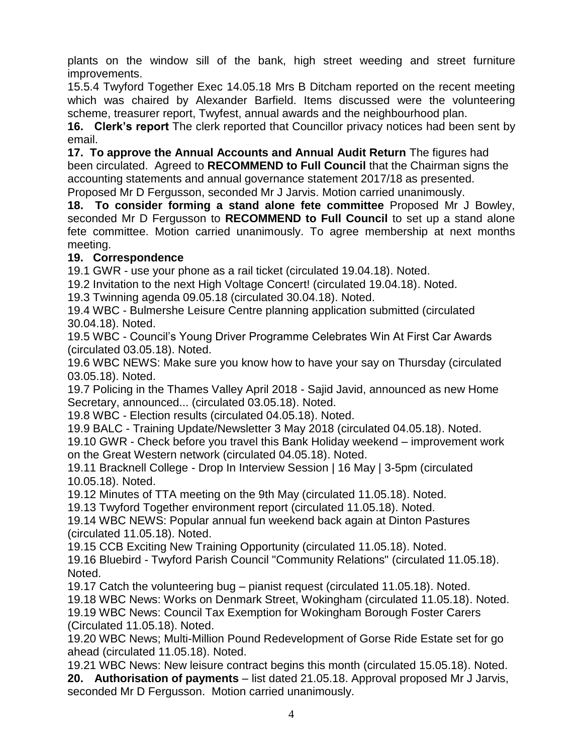plants on the window sill of the bank, high street weeding and street furniture improvements.

15.5.4 Twyford Together Exec 14.05.18 Mrs B Ditcham reported on the recent meeting which was chaired by Alexander Barfield. Items discussed were the volunteering scheme, treasurer report, Twyfest, annual awards and the neighbourhood plan.

**16. Clerk's report** The clerk reported that Councillor privacy notices had been sent by email.

**17. To approve the Annual Accounts and Annual Audit Return** The figures had been circulated. Agreed to **RECOMMEND to Full Council** that the Chairman signs the accounting statements and annual governance statement 2017/18 as presented.

Proposed Mr D Fergusson, seconded Mr J Jarvis. Motion carried unanimously.

**18. To consider forming a stand alone fete committee** Proposed Mr J Bowley, seconded Mr D Fergusson to **RECOMMEND to Full Council** to set up a stand alone fete committee. Motion carried unanimously. To agree membership at next months meeting.

### **19. Correspondence**

19.1 GWR - use your phone as a rail ticket (circulated 19.04.18). Noted.

19.2 Invitation to the next High Voltage Concert! (circulated 19.04.18). Noted.

19.3 Twinning agenda 09.05.18 (circulated 30.04.18). Noted.

19.4 WBC - Bulmershe Leisure Centre planning application submitted (circulated 30.04.18). Noted.

19.5 WBC - Council's Young Driver Programme Celebrates Win At First Car Awards (circulated 03.05.18). Noted.

19.6 WBC NEWS: Make sure you know how to have your say on Thursday (circulated 03.05.18). Noted.

19.7 Policing in the Thames Valley April 2018 - Sajid Javid, announced as new Home Secretary, announced... (circulated 03.05.18). Noted.

19.8 WBC - Election results (circulated 04.05.18). Noted.

19.9 BALC - Training Update/Newsletter 3 May 2018 (circulated 04.05.18). Noted.

19.10 GWR - Check before you travel this Bank Holiday weekend – improvement work on the Great Western network (circulated 04.05.18). Noted.

19.11 Bracknell College - Drop In Interview Session | 16 May | 3-5pm (circulated 10.05.18). Noted.

19.12 Minutes of TTA meeting on the 9th May (circulated 11.05.18). Noted.

19.13 Twyford Together environment report (circulated 11.05.18). Noted.

19.14 WBC NEWS: Popular annual fun weekend back again at Dinton Pastures (circulated 11.05.18). Noted.

19.15 CCB Exciting New Training Opportunity (circulated 11.05.18). Noted.

19.16 Bluebird - Twyford Parish Council "Community Relations" (circulated 11.05.18). Noted.

19.17 Catch the volunteering bug – pianist request (circulated 11.05.18). Noted.

19.18 WBC News: Works on Denmark Street, Wokingham (circulated 11.05.18). Noted.

19.19 WBC News: Council Tax Exemption for Wokingham Borough Foster Carers (Circulated 11.05.18). Noted.

19.20 WBC News; Multi-Million Pound Redevelopment of Gorse Ride Estate set for go ahead (circulated 11.05.18). Noted.

19.21 WBC News: New leisure contract begins this month (circulated 15.05.18). Noted. **20. Authorisation of payments** – list dated 21.05.18. Approval proposed Mr J Jarvis, seconded Mr D Fergusson. Motion carried unanimously.